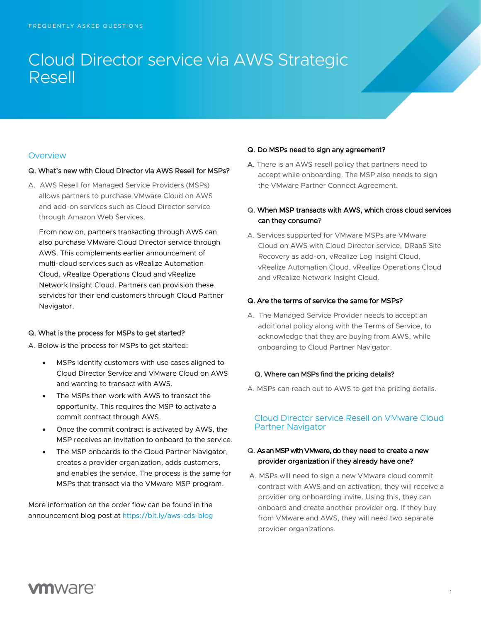# Cloud Director service via AWS Strategic Resell

## **Overview**

## Q. What's new with Cloud Director via AWS Resell for MSPs?

A. AWS Resell for Managed Service Providers (MSPs) allows partners to purchase VMware Cloud on AWS and add-on services such as Cloud Director service through Amazon Web Services.

From now on, partners transacting through AWS can also purchase VMware Cloud Director service through AWS. This complements earlier announcement of multi-cloud services such as vRealize Automation Cloud, vRealize Operations Cloud and vRealize Network Insight Cloud. Partners can provision these services for their end customers through Cloud Partner Navigator.

#### Q. What is the process for MSPs to get started?

A. Below is the process for MSPs to get started:

- MSPs identify customers with use cases aligned to Cloud Director Service and VMware Cloud on AWS and wanting to transact with AWS.
- The MSPs then work with AWS to transact the opportunity. This requires the MSP to activate a commit contract through AWS.
- Once the commit contract is activated by AWS, the MSP receives an invitation to onboard to the service.
- The MSP onboards to the Cloud Partner Navigator, creates a provider organization, adds customers, and enables the service. The process is the same for MSPs that transact via the VMware MSP program.

More information on the order flow can be found in the announcement blog post at <https://bit.ly/aws-cds-blog>

## Q. Do MSPs need to sign any agreement?

A. There is an AWS resell policy that partners need to accept while onboarding. The MSP also needs to sign the VMware Partner Connect Agreement.

## Q. When MSP transacts with AWS, which cross cloud services can they consume?

A. Services supported for VMware MSPs are VMware Cloud on AWS with Cloud Director service, DRaaS Site Recovery as add-on, vRealize Log Insight Cloud, vRealize Automation Cloud, vRealize Operations Cloud and vRealize Network Insight Cloud.

#### Q. Are the terms of service the same for MSPs?

A. The Managed Service Provider needs to accept an additional policy along with the Terms of Service, to acknowledge that they are buying from AWS, while onboarding to Cloud Partner Navigator.

#### Q. Where can MSPs find the pricing details?

A. MSPs can reach out to AWS to get the pricing details.

## Cloud Director service Resell on VMware Cloud Partner Navigator

## Q. As an MSP with VMware, do they need to create a new provider organization if they already have one?

A. MSPs will need to sign a new VMware cloud commit contract with AWS and on activation, they will receive a provider org onboarding invite. Using this, they can onboard and create another provider org. If they buy from VMware and AWS, they will need two separate provider organizations.